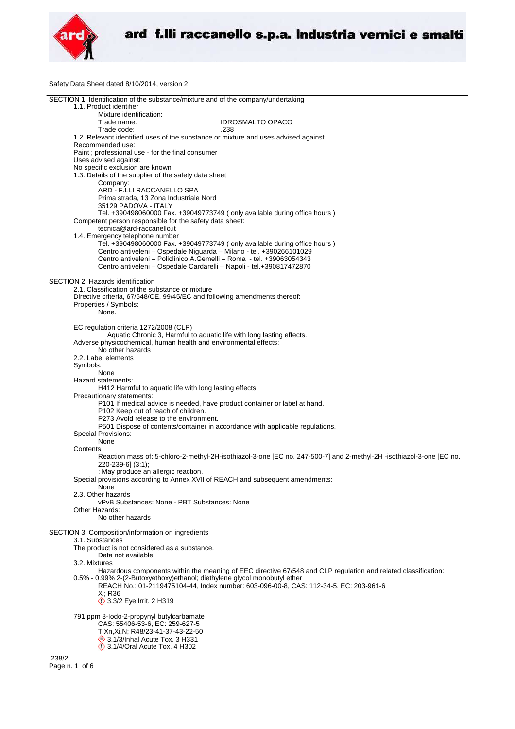

Safety Data Sheet dated 8/10/2014, version 2

| SECTION 1: Identification of the substance/mixture and of the company/undertaking                                    |
|----------------------------------------------------------------------------------------------------------------------|
| 1.1. Product identifier                                                                                              |
| Mixture identification:                                                                                              |
| Trade name:<br><b>IDROSMALTO OPACO</b>                                                                               |
| Trade code:<br>.238                                                                                                  |
| 1.2. Relevant identified uses of the substance or mixture and uses advised against                                   |
| Recommended use:                                                                                                     |
|                                                                                                                      |
| Paint; professional use - for the final consumer                                                                     |
| Uses advised against:                                                                                                |
| No specific exclusion are known                                                                                      |
| 1.3. Details of the supplier of the safety data sheet                                                                |
| Company:                                                                                                             |
| ARD - F.LLI RACCANELLO SPA                                                                                           |
| Prima strada, 13 Zona Industriale Nord                                                                               |
| 35129 PADOVA - ITALY                                                                                                 |
|                                                                                                                      |
| Tel. +390498060000 Fax. +39049773749 (only available during office hours)                                            |
| Competent person responsible for the safety data sheet:                                                              |
| tecnica@ard-raccanello.it                                                                                            |
| 1.4. Emergency telephone number                                                                                      |
| Tel. +390498060000 Fax. +39049773749 (only available during office hours)                                            |
| Centro antiveleni - Ospedale Niguarda - Milano - tel. +390266101029                                                  |
| Centro antiveleni – Policlinico A.Gemelli – Roma - tel. +39063054343                                                 |
| Centro antiveleni - Ospedale Cardarelli - Napoli - tel.+390817472870                                                 |
|                                                                                                                      |
|                                                                                                                      |
| SECTION 2: Hazards identification                                                                                    |
| 2.1. Classification of the substance or mixture                                                                      |
| Directive criteria, 67/548/CE, 99/45/EC and following amendments thereof:                                            |
| Properties / Symbols:                                                                                                |
| None.                                                                                                                |
|                                                                                                                      |
|                                                                                                                      |
| EC regulation criteria 1272/2008 (CLP)                                                                               |
| Aquatic Chronic 3, Harmful to aquatic life with long lasting effects.                                                |
| Adverse physicochemical, human health and environmental effects:                                                     |
| No other hazards                                                                                                     |
| 2.2. Label elements                                                                                                  |
| Symbols:                                                                                                             |
| None                                                                                                                 |
|                                                                                                                      |
| Hazard statements:                                                                                                   |
| H412 Harmful to aquatic life with long lasting effects.                                                              |
| Precautionary statements:                                                                                            |
| P101 If medical advice is needed, have product container or label at hand.                                           |
| P102 Keep out of reach of children.                                                                                  |
| P273 Avoid release to the environment.                                                                               |
| P501 Dispose of contents/container in accordance with applicable regulations.                                        |
|                                                                                                                      |
| <b>Special Provisions:</b>                                                                                           |
| None                                                                                                                 |
| Contents                                                                                                             |
| Reaction mass of: 5-chloro-2-methyl-2H-isothiazol-3-one [EC no. 247-500-7] and 2-methyl-2H -isothiazol-3-one [EC no. |
| 220-239-6] (3:1);                                                                                                    |
| : May produce an allergic reaction.                                                                                  |
| Special provisions according to Annex XVII of REACH and subsequent amendments:                                       |
| None                                                                                                                 |
|                                                                                                                      |
| 2.3. Other hazards                                                                                                   |
| vPvB Substances: None - PBT Substances: None                                                                         |
| Other Hazards:                                                                                                       |
| No other hazards                                                                                                     |
|                                                                                                                      |
| SECTION 3: Composition/information on ingredients                                                                    |
| 3.1. Substances                                                                                                      |
| The product is not considered as a substance.                                                                        |
| Data not available                                                                                                   |
| 3.2. Mixtures                                                                                                        |
| Hazardous components within the meaning of EEC directive 67/548 and CLP regulation and related classification:       |
|                                                                                                                      |
| 0.5% - 0.99% 2-(2-Butoxyethoxy) ethanol; diethylene glycol monobutyl ether                                           |
| REACH No.: 01-2119475104-44, Index number: 603-096-00-8, CAS: 112-34-5, EC: 203-961-6                                |
| Xi: R36                                                                                                              |
| <b>1</b> 3.3/2 Eye Irrit. 2 H319                                                                                     |
|                                                                                                                      |
| 791 ppm 3-lodo-2-propynyl butylcarbamate                                                                             |
| CAS: 55406-53-6, EC: 259-627-5                                                                                       |
| T, Xn, Xi, N; R48/23-41-37-43-22-50                                                                                  |
| → 3.1/3/Inhal Acute Tox. 3 H331                                                                                      |
| $\Diamond$ 3.1/4/Oral Acute Tox. 4 H302                                                                              |
|                                                                                                                      |
| .238/2                                                                                                               |
| Page n. 1 of 6                                                                                                       |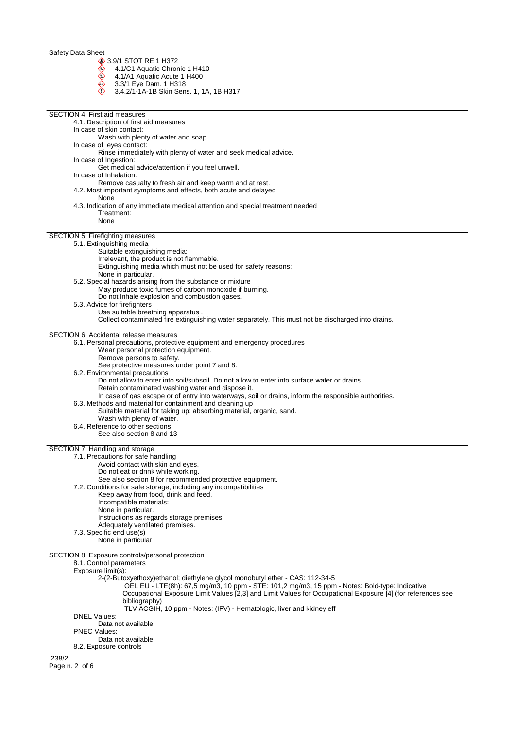3.9/1 STOT RE 1 H372

- 4.1/C1 Aquatic Chronic 1 H410
- 4.1/A1 Aquatic Acute 1 H400
- 3.3/1 Eye Dam. 1 H318
- 3.4.2/1-1A-1B Skin Sens. 1, 1A, 1B H317

| <b>SECTION 4: First aid measures</b>                                                                                                                                                                          |
|---------------------------------------------------------------------------------------------------------------------------------------------------------------------------------------------------------------|
| 4.1. Description of first aid measures                                                                                                                                                                        |
| In case of skin contact:<br>Wash with plenty of water and soap.                                                                                                                                               |
| In case of eyes contact:                                                                                                                                                                                      |
| Rinse immediately with plenty of water and seek medical advice.<br>In case of Ingestion:                                                                                                                      |
| Get medical advice/attention if you feel unwell.                                                                                                                                                              |
| In case of Inhalation:                                                                                                                                                                                        |
| Remove casualty to fresh air and keep warm and at rest.<br>4.2. Most important symptoms and effects, both acute and delayed                                                                                   |
| None                                                                                                                                                                                                          |
| 4.3. Indication of any immediate medical attention and special treatment needed<br>Treatment:                                                                                                                 |
| None                                                                                                                                                                                                          |
| SECTION 5: Firefighting measures                                                                                                                                                                              |
| 5.1. Extinguishing media                                                                                                                                                                                      |
| Suitable extinguishing media:                                                                                                                                                                                 |
| Irrelevant, the product is not flammable.<br>Extinguishing media which must not be used for safety reasons:                                                                                                   |
| None in particular.                                                                                                                                                                                           |
| 5.2. Special hazards arising from the substance or mixture<br>May produce toxic fumes of carbon monoxide if burning.                                                                                          |
| Do not inhale explosion and combustion gases.                                                                                                                                                                 |
| 5.3. Advice for firefighters                                                                                                                                                                                  |
| Use suitable breathing apparatus.<br>Collect contaminated fire extinguishing water separately. This must not be discharged into drains.                                                                       |
| <b>SECTION 6: Accidental release measures</b>                                                                                                                                                                 |
| 6.1. Personal precautions, protective equipment and emergency procedures                                                                                                                                      |
| Wear personal protection equipment.                                                                                                                                                                           |
| Remove persons to safety.<br>See protective measures under point 7 and 8.                                                                                                                                     |
| 6.2. Environmental precautions                                                                                                                                                                                |
| Do not allow to enter into soil/subsoil. Do not allow to enter into surface water or drains.                                                                                                                  |
| Retain contaminated washing water and dispose it.<br>In case of gas escape or of entry into waterways, soil or drains, inform the responsible authorities.                                                    |
| 6.3. Methods and material for containment and cleaning up                                                                                                                                                     |
| Suitable material for taking up: absorbing material, organic, sand.<br>Wash with plenty of water.                                                                                                             |
| 6.4. Reference to other sections                                                                                                                                                                              |
| See also section 8 and 13                                                                                                                                                                                     |
| SECTION 7: Handling and storage                                                                                                                                                                               |
| 7.1. Precautions for safe handling<br>Avoid contact with skin and eyes.                                                                                                                                       |
| Do not eat or drink while working.                                                                                                                                                                            |
| See also section 8 for recommended protective equipment.                                                                                                                                                      |
| 7.2. Conditions for safe storage, including any incompatibilities<br>Keep away from food, drink and feed.                                                                                                     |
| Incompatible materials:                                                                                                                                                                                       |
| None in particular.<br>Instructions as regards storage premises:                                                                                                                                              |
| Adequately ventilated premises.                                                                                                                                                                               |
| 7.3. Specific end use(s)<br>None in particular                                                                                                                                                                |
|                                                                                                                                                                                                               |
| SECTION 8: Exposure controls/personal protection<br>8.1. Control parameters                                                                                                                                   |
| Exposure limit(s):                                                                                                                                                                                            |
| 2-(2-Butoxyethoxy)ethanol; diethylene glycol monobutyl ether - CAS: 112-34-5                                                                                                                                  |
| OEL EU - LTE(8h): 67,5 mg/m3, 10 ppm - STE: 101,2 mg/m3, 15 ppm - Notes: Bold-type: Indicative<br>Occupational Exposure Limit Values [2,3] and Limit Values for Occupational Exposure [4] (for references see |
| bibliography)                                                                                                                                                                                                 |
| TLV ACGIH, 10 ppm - Notes: (IFV) - Hematologic, liver and kidney eff<br><b>DNEL Values:</b>                                                                                                                   |
| Data not available                                                                                                                                                                                            |
| <b>PNEC Values:</b>                                                                                                                                                                                           |
| Data not available<br>8.2. Exposure controls                                                                                                                                                                  |
| .238/2                                                                                                                                                                                                        |
| Page n. 2 of 6                                                                                                                                                                                                |
|                                                                                                                                                                                                               |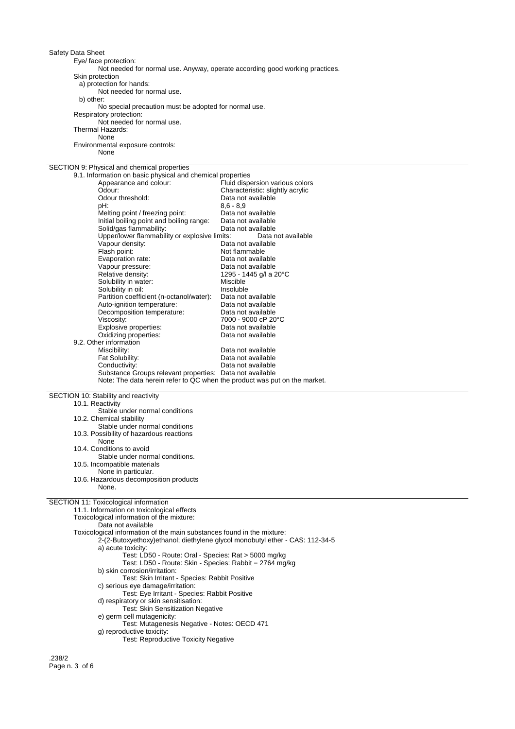Eye/ face protection:

Not needed for normal use. Anyway, operate according good working practices.

Skin protection

a) protection for hands:

Not needed for normal use. b) other:

No special precaution must be adopted for normal use.

Respiratory protection:

Not needed for normal use. Thermal Hazards:

None

Environmental exposure controls: None

# SECTION 9: Physical and chemical properties

| 9.1. Information on basic physical and chemical properties                |                                  |
|---------------------------------------------------------------------------|----------------------------------|
| Appearance and colour:                                                    | Fluid dispersion various colors  |
| Odour:                                                                    | Characteristic: slightly acrylic |
| Odour threshold:                                                          | Data not available               |
| pH:                                                                       | $8,6 - 8,9$                      |
| Melting point / freezing point:                                           | Data not available               |
| Initial boiling point and boiling range:                                  | Data not available               |
| Solid/gas flammability:                                                   | Data not available               |
| Upper/lower flammability or explosive limits:                             | Data not available               |
| Vapour density:                                                           | Data not available               |
| Flash point:                                                              | Not flammable                    |
| Evaporation rate:                                                         | Data not available               |
| Vapour pressure:                                                          | Data not available               |
| Relative density:                                                         | 1295 - 1445 g/l a 20°C           |
| Solubility in water:                                                      | Miscible                         |
| Solubility in oil:                                                        | Insoluble                        |
| Partition coefficient (n-octanol/water):                                  | Data not available               |
| Auto-ignition temperature:                                                | Data not available               |
| Decomposition temperature:                                                | Data not available               |
| Viscosity:                                                                | 7000 - 9000 cP 20°C              |
| Explosive properties:                                                     | Data not available               |
| Oxidizing properties:                                                     | Data not available               |
| 9.2. Other information                                                    |                                  |
| Miscibility:                                                              | Data not available               |
| Fat Solubility:                                                           | Data not available               |
| Conductivity:                                                             | Data not available               |
| Substance Groups relevant properties: Data not available                  |                                  |
| Note: The data herein refer to QC when the product was put on the market. |                                  |

SECTION 10: Stability and reactivity

10.1. Reactivity Stable under normal conditions 10.2. Chemical stability Stable under normal conditions 10.3. Possibility of hazardous reactions None 10.4. Conditions to avoid Stable under normal conditions. 10.5. Incompatible materials None in particular. 10.6. Hazardous decomposition products

None.

## SECTION 11: Toxicological information

11.1. Information on toxicological effects Toxicological information of the mixture:

Data not available

Toxicological information of the main substances found in the mixture:

- 2-(2-Butoxyethoxy)ethanol; diethylene glycol monobutyl ether CAS: 112-34-5
	- a) acute toxicity:
		- Test: LD50 Route: Oral Species: Rat > 5000 mg/kg
		- Test: LD50 Route: Skin Species: Rabbit = 2764 mg/kg

b) skin corrosion/irritation:

- Test: Skin Irritant Species: Rabbit Positive
- c) serious eye damage/irritation:
- Test: Eye Irritant Species: Rabbit Positive
- d) respiratory or skin sensitisation:
	- Test: Skin Sensitization Negative
- e) germ cell mutagenicity:
- Test: Mutagenesis Negative Notes: OECD 471
- g) reproductive toxicity: Test: Reproductive Toxicity Negative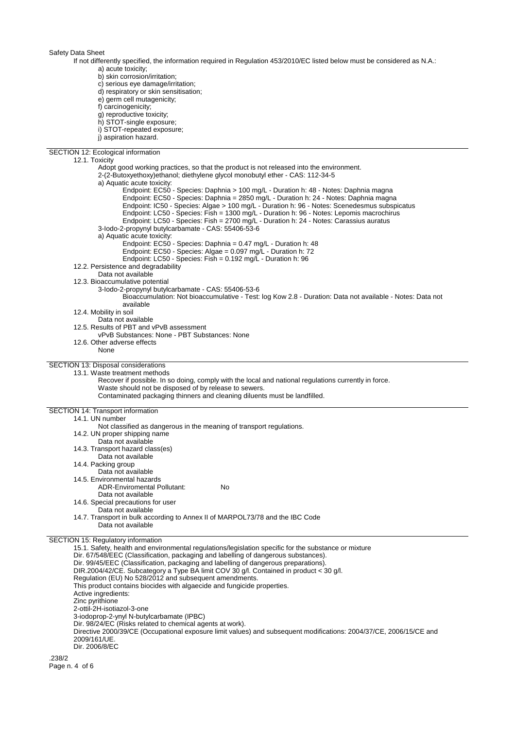If not differently specified, the information required in Regulation 453/2010/EC listed below must be considered as N.A.: a) acute toxicity;

b) skin corrosion/irritation;

c) serious eye damage/irritation;

d) respiratory or skin sensitisation;

e) germ cell mutagenicity;

f) carcinogenicity;

g) reproductive toxicity;

h) STOT-single exposure;

- i) STOT-repeated exposure;
- j) aspiration hazard.

SECTION 12: Ecological information 12.1. Toxicity Adopt good working practices, so that the product is not released into the environment. 2-(2-Butoxyethoxy)ethanol; diethylene glycol monobutyl ether - CAS: 112-34-5 a) Aquatic acute toxicity: Endpoint: EC50 - Species: Daphnia > 100 mg/L - Duration h: 48 - Notes: Daphnia magna Endpoint: EC50 - Species: Daphnia = 2850 mg/L - Duration h: 24 - Notes: Daphnia magna Endpoint: IC50 - Species: Algae > 100 mg/L - Duration h: 96 - Notes: Scenedesmus subspicatus Endpoint: LC50 - Species: Fish = 1300 mg/L - Duration h: 96 - Notes: Lepomis macrochirus Endpoint: LC50 - Species: Fish = 2700 mg/L - Duration h: 24 - Notes: Carassius auratus 3-Iodo-2-propynyl butylcarbamate - CAS: 55406-53-6 a) Aquatic acute toxicity: Endpoint: EC50 - Species: Daphnia = 0.47 mg/L - Duration h: 48 Endpoint: EC50 - Species: Algae = 0.097 mg/L - Duration h: 72 Endpoint: LC50 - Species: Fish = 0.192 mg/L - Duration h: 96 12.2. Persistence and degradability Data not available 12.3. Bioaccumulative potential 3-Iodo-2-propynyl butylcarbamate - CAS: 55406-53-6 Bioaccumulation: Not bioaccumulative - Test: log Kow 2.8 - Duration: Data not available - Notes: Data not available 12.4. Mobility in soil Data not available 12.5. Results of PBT and vPvB assessment vPvB Substances: None - PBT Substances: None 12.6. Other adverse effects None SECTION 13: Disposal considerations 13.1. Waste treatment methods Recover if possible. In so doing, comply with the local and national regulations currently in force. Waste should not be disposed of by release to sewers. Contaminated packaging thinners and cleaning diluents must be landfilled. SECTION 14: Transport information 14.1. UN number Not classified as dangerous in the meaning of transport regulations. 14.2. UN proper shipping name Data not available 14.3. Transport hazard class(es) Data not available 14.4. Packing group Data not available 14.5. Environmental hazards ADR-Enviromental Pollutant: No Data not available 14.6. Special precautions for user Data not available 14.7. Transport in bulk according to Annex II of MARPOL73/78 and the IBC Code Data not available SECTION 15: Regulatory information 15.1. Safety, health and environmental regulations/legislation specific for the substance or mixture Dir. 67/548/EEC (Classification, packaging and labelling of dangerous substances). Dir. 99/45/EEC (Classification, packaging and labelling of dangerous preparations). DIR.2004/42/CE. Subcategory a Type BA limit COV 30 g/l. Contained in product < 30 g/l. Regulation (EU) No 528/2012 and subsequent amendments. This product contains biocides with algaecide and fungicide properties. Active ingredients: Zinc pyrithione 2-ottil-2H-isotiazol-3-one 3-iodoprop-2-ynyl N-butylcarbamate (IPBC) Dir. 98/24/EC (Risks related to chemical agents at work). Directive 2000/39/CE (Occupational exposure limit values) and subsequent modifications: 2004/37/CE, 2006/15/CE and 2009/161/UE. Dir. 2006/8/EC .238/2

Page n. 4 of 6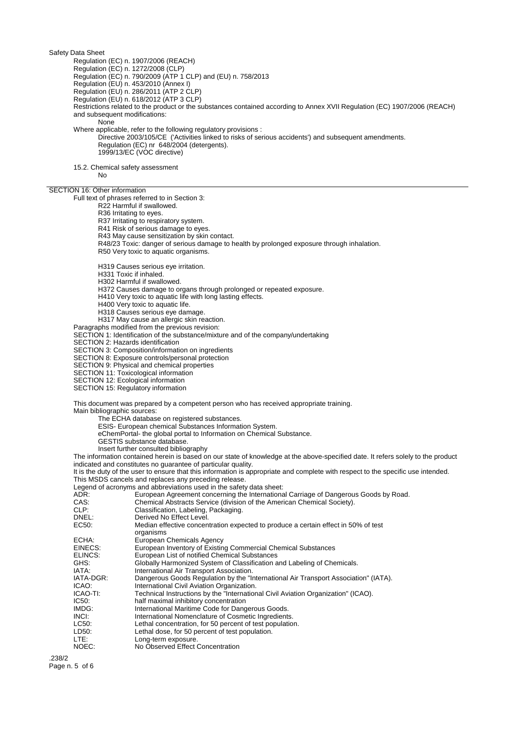Regulation (EC) n. 1907/2006 (REACH)

Regulation (EC) n. 1272/2008 (CLP)

Regulation (EC) n. 790/2009 (ATP 1 CLP) and (EU) n. 758/2013

Regulation (EU) n. 453/2010 (Annex I)

Regulation (EU) n. 286/2011 (ATP 2 CLP)

Regulation (EU) n. 618/2012 (ATP 3 CLP)

Restrictions related to the product or the substances contained according to Annex XVII Regulation (EC) 1907/2006 (REACH) and subsequent modifications:

None

Where applicable, refer to the following regulatory provisions :

Directive 2003/105/CE ('Activities linked to risks of serious accidents') and subsequent amendments. Regulation (EC) nr 648/2004 (detergents). 1999/13/EC (VOC directive)

15.2. Chemical safety assessment

No

### SECTION 16: Other information

Full text of phrases referred to in Section 3:

R22 Harmful if swallowed.

R36 Irritating to eyes.

R37 Irritating to respiratory system.

R41 Risk of serious damage to eyes.

R43 May cause sensitization by skin contact.

R48/23 Toxic: danger of serious damage to health by prolonged exposure through inhalation.

R50 Very toxic to aquatic organisms.

H319 Causes serious eye irritation.

H331 Toxic if inhaled.

H302 Harmful if swallowed.

H372 Causes damage to organs through prolonged or repeated exposure.

H410 Very toxic to aquatic life with long lasting effects.

H400 Very toxic to aquatic life.

H318 Causes serious eye damage.

H317 May cause an allergic skin reaction.

Paragraphs modified from the previous revision:

SECTION 1: Identification of the substance/mixture and of the company/undertaking

SECTION 2: Hazards identification

SECTION 3: Composition/information on ingredients

SECTION 8: Exposure controls/personal protection

SECTION 9: Physical and chemical properties

SECTION 11: Toxicological information

SECTION 12: Ecological information

SECTION 15: Regulatory information

This document was prepared by a competent person who has received appropriate training. Main bibliographic sources:

The ECHA database on registered substances.

ESIS- European chemical Substances Information System.

eChemPortal- the global portal to Information on Chemical Substance.

GESTIS substance database.

Insert further consulted bibliography

The information contained herein is based on our state of knowledge at the above-specified date. It refers solely to the product indicated and constitutes no guarantee of particular quality.

It is the duty of the user to ensure that this information is appropriate and complete with respect to the specific use intended. This MSDS cancels and replaces any preceding release.

Legend of acronyms and abbreviations used in the safety data sheet:

ADR: European Agreement concerning the International Carriage of Dangerous Goods by Road.

- CAS: Chemical Abstracts Service (division of the American Chemical Society).<br>CLP: Classification, Labeling, Packaging.
- CLP: Classification, Labeling, Packaging.<br>
DREL: Derived No Effect Level.

DNEL:<br>
EC50: Derived No Effect Level.<br>
Median effective concer Median effective concentration expected to produce a certain effect in 50% of test organisms ECHA: European Chemicals Agency

EINECS: European Inventory of Existing Commercial Chemical Substances<br>ELINCS: European List of notified Chemical Substances

ELINCS: European List of notified Chemical Substances<br>GHS: Globally Harmonized System of Classification a GHS: Globally Harmonized System of Classification and Labeling of Chemicals.<br>IATA: laternational Air Transport Association.

IATA: International Air Transport Association.<br>IATA-DGR: Dangerous Goods Regulation by the "Ir

IATA-DGR: Dangerous Goods Regulation by the "International Air Transport Association" (IATA).<br>ICAO: local pretantional Civil Aviation Organization.

**ICAO:** International Civil Aviation Organization.<br> **ICAO-TI:** Technical Instructions by the "Internation"

ICAO-TI: Technical Instructions by the "International Civil Aviation Organization" (ICAO).

- half maximal inhibitory concentration
- IMDG: International Maritime Code for Dangerous Goods.
- INCI: International Nomenclature of Cosmetic Ingredients.<br>
LC50: Lethal concentration, for 50 percent of test population
- Lethal concentration, for 50 percent of test population.
- LD50: Lethal dose, for 50 percent of test population.<br>LTF: Long-term exposure.
- LTE: Long-term exposure.<br>
NOEC: NO Observed Effect
	- No Observed Effect Concentration

.238/2